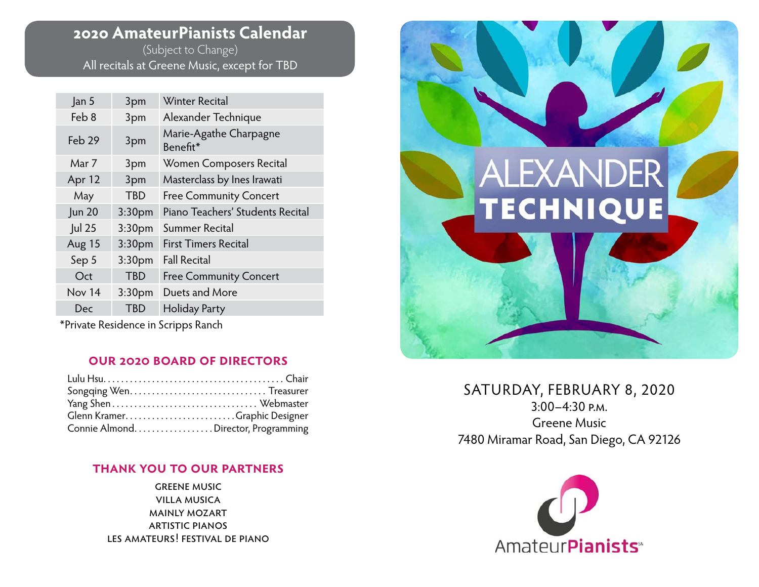# **2020 AmateurPianists Calendar**

(Subject to Change) All recitals at Greene Music, except for TBD

| Jan 5         | 3pm                | <b>Winter Recital</b>              |  |
|---------------|--------------------|------------------------------------|--|
| Feb 8         | 3pm                | Alexander Technique                |  |
| Feb 29        | 3pm                | Marie-Agathe Charpagne<br>Benefit* |  |
| Mar 7         | 3pm                | Women Composers Recital            |  |
| Apr 12        | 3pm                | Masterclass by Ines Irawati        |  |
| May           | TBD                | <b>Free Community Concert</b>      |  |
| <b>Jun 20</b> | 3:30 <sub>pm</sub> | Piano Teachers' Students Recital   |  |
| Jul 25        | 3:30 <sub>pm</sub> | Summer Recital                     |  |
| Aug 15        | 3:30 <sub>pm</sub> | <b>First Timers Recital</b>        |  |
| Sep 5         | 3:30 <sub>pm</sub> | <b>Fall Recital</b>                |  |
| Oct           | <b>TBD</b>         | <b>Free Community Concert</b>      |  |
| Nov 14        | 3:30 <sub>pm</sub> | Duets and More                     |  |
| Dec           | <b>TBD</b>         | Holiday Party                      |  |
|               |                    |                                    |  |

\*Private Residence in Scripps Ranch

### **our 2020 board of directors**

| Glenn KramerGraphic Designer       |  |
|------------------------------------|--|
| Connie AlmondDirector, Programming |  |

## **thank you to our partners**

greene music villa musica mainly mozart artistic pianos les amateurs! festival de piano



## SATURDAY, FEBRUARY 8, 2020 3:00–4:30 p.m. Greene Music 7480 Miramar Road, San Diego, CA 92126